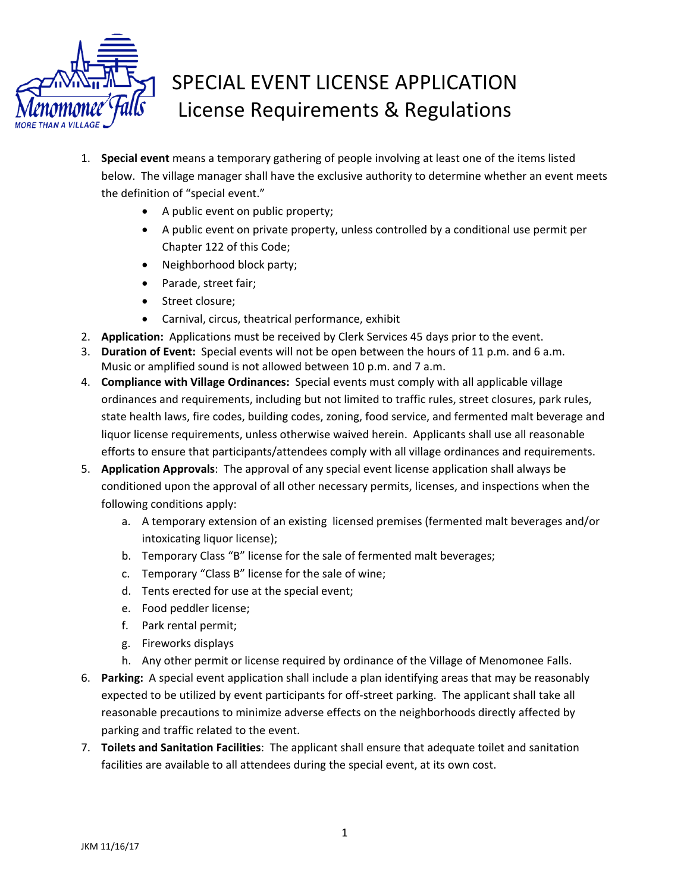

## SPECIAL EVENT LICENSE APPLICATION License Requirements & Regulations

- 1. **Special event** means a temporary gathering of people involving at least one of the items listed below. The village manager shall have the exclusive authority to determine whether an event meets the definition of "special event."
	- A public event on public property;
	- A public event on private property, unless controlled by a conditional use permit per Chapter 122 of this Code;
	- Neighborhood block party;
	- Parade, street fair;
	- Street closure;
	- Carnival, circus, theatrical performance, exhibit
- 2. **Application:** Applications must be received by Clerk Services 45 days prior to the event.
- 3. **Duration of Event:** Special events will not be open between the hours of 11 p.m. and 6 a.m. Music or amplified sound is not allowed between 10 p.m. and 7 a.m.
- 4. **Compliance with Village Ordinances:** Special events must comply with all applicable village ordinances and requirements, including but not limited to traffic rules, street closures, park rules, state health laws, fire codes, building codes, zoning, food service, and fermented malt beverage and liquor license requirements, unless otherwise waived herein. Applicants shall use all reasonable efforts to ensure that participants/attendees comply with all village ordinances and requirements.
- 5. **Application Approvals**: The approval of any special event license application shall always be conditioned upon the approval of all other necessary permits, licenses, and inspections when the following conditions apply:
	- a. A temporary extension of an existing licensed premises (fermented malt beverages and/or intoxicating liquor license);
	- b. Temporary Class "B" license for the sale of fermented malt beverages;
	- c. Temporary "Class B" license for the sale of wine;
	- d. Tents erected for use at the special event;
	- e. Food peddler license;
	- f. Park rental permit;
	- g. Fireworks displays
	- h. Any other permit or license required by ordinance of the Village of Menomonee Falls.
- 6. **Parking:** A special event application shall include a plan identifying areas that may be reasonably expected to be utilized by event participants for off-street parking. The applicant shall take all reasonable precautions to minimize adverse effects on the neighborhoods directly affected by parking and traffic related to the event.
- 7. **Toilets and Sanitation Facilities**: The applicant shall ensure that adequate toilet and sanitation facilities are available to all attendees during the special event, at its own cost.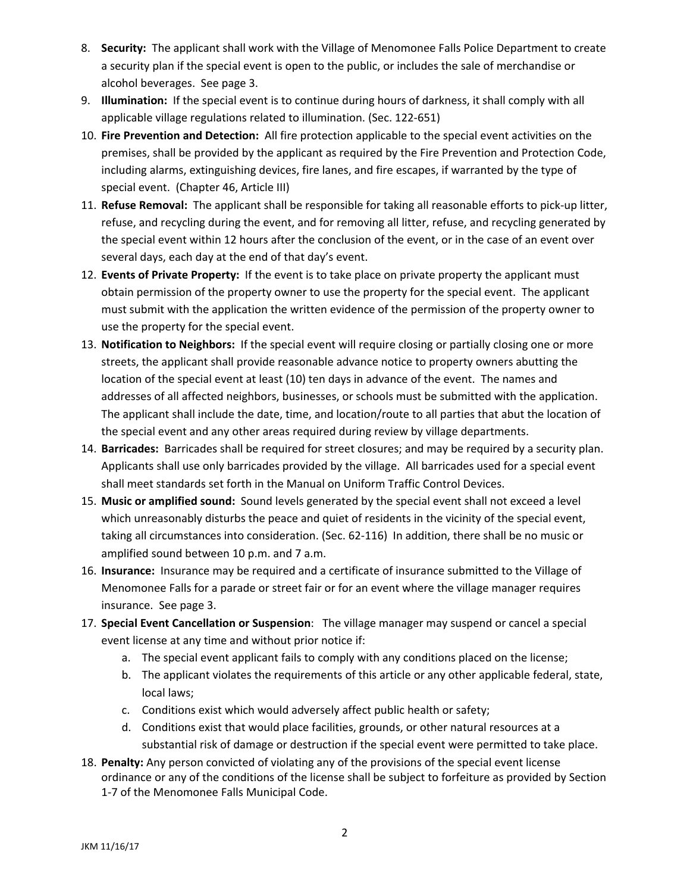- 8. **Security:** The applicant shall work with the Village of Menomonee Falls Police Department to create a security plan if the special event is open to the public, or includes the sale of merchandise or alcohol beverages. See page 3.
- 9. **Illumination:** If the special event is to continue during hours of darkness, it shall comply with all applicable village regulations related to illumination. (Sec. 122‐651)
- 10. **Fire Prevention and Detection:** All fire protection applicable to the special event activities on the premises, shall be provided by the applicant as required by the Fire Prevention and Protection Code, including alarms, extinguishing devices, fire lanes, and fire escapes, if warranted by the type of special event. (Chapter 46, Article III)
- 11. **Refuse Removal:** The applicant shall be responsible for taking all reasonable efforts to pick‐up litter, refuse, and recycling during the event, and for removing all litter, refuse, and recycling generated by the special event within 12 hours after the conclusion of the event, or in the case of an event over several days, each day at the end of that day's event.
- 12. **Events of Private Property:** If the event is to take place on private property the applicant must obtain permission of the property owner to use the property for the special event. The applicant must submit with the application the written evidence of the permission of the property owner to use the property for the special event.
- 13. **Notification to Neighbors:** If the special event will require closing or partially closing one or more streets, the applicant shall provide reasonable advance notice to property owners abutting the location of the special event at least (10) ten days in advance of the event. The names and addresses of all affected neighbors, businesses, or schools must be submitted with the application. The applicant shall include the date, time, and location/route to all parties that abut the location of the special event and any other areas required during review by village departments.
- 14. **Barricades:** Barricades shall be required for street closures; and may be required by a security plan. Applicants shall use only barricades provided by the village. All barricades used for a special event shall meet standards set forth in the Manual on Uniform Traffic Control Devices.
- 15. **Music or amplified sound:** Sound levels generated by the special event shall not exceed a level which unreasonably disturbs the peace and quiet of residents in the vicinity of the special event, taking all circumstances into consideration. (Sec. 62‐116) In addition, there shall be no music or amplified sound between 10 p.m. and 7 a.m.
- 16. **Insurance:** Insurance may be required and a certificate of insurance submitted to the Village of Menomonee Falls for a parade or street fair or for an event where the village manager requires insurance. See page 3.
- 17. **Special Event Cancellation or Suspension**: The village manager may suspend or cancel a special event license at any time and without prior notice if:
	- a. The special event applicant fails to comply with any conditions placed on the license;
	- b. The applicant violates the requirements of this article or any other applicable federal, state, local laws;
	- c. Conditions exist which would adversely affect public health or safety;
	- d. Conditions exist that would place facilities, grounds, or other natural resources at a substantial risk of damage or destruction if the special event were permitted to take place.
- 18. **Penalty:** Any person convicted of violating any of the provisions of the special event license ordinance or any of the conditions of the license shall be subject to forfeiture as provided by Section 1‐7 of the Menomonee Falls Municipal Code.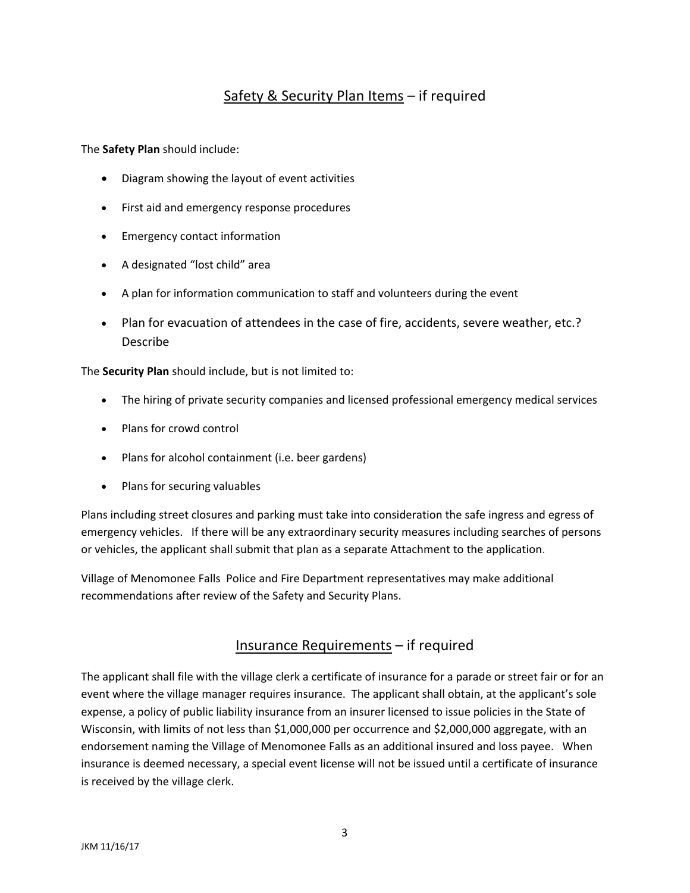## Safety & Security Plan Items – if required

The **Safety Plan** should include:

- Diagram showing the layout of event activities
- First aid and emergency response procedures
- Emergency contact information
- A designated "lost child" area
- A plan for information communication to staff and volunteers during the event
- Plan for evacuation of attendees in the case of fire, accidents, severe weather, etc.? Describe

The **Security Plan** should include, but is not limited to:

- The hiring of private security companies and licensed professional emergency medical services
- Plans for crowd control
- Plans for alcohol containment (i.e. beer gardens)
- Plans for securing valuables

Plans including street closures and parking must take into consideration the safe ingress and egress of emergency vehicles. If there will be any extraordinary security measures including searches of persons or vehicles, the applicant shall submit that plan as a separate Attachment to the application.

Village of Menomonee Falls Police and Fire Department representatives may make additional recommendations after review of the Safety and Security Plans.

## Insurance Requirements – if required

The applicant shall file with the village clerk a certificate of insurance for a parade or street fair or for an event where the village manager requires insurance. The applicant shall obtain, at the applicant's sole expense, a policy of public liability insurance from an insurer licensed to issue policies in the State of Wisconsin, with limits of not less than \$1,000,000 per occurrence and \$2,000,000 aggregate, with an endorsement naming the Village of Menomonee Falls as an additional insured and loss payee. When insurance is deemed necessary, a special event license will not be issued until a certificate of insurance is received by the village clerk.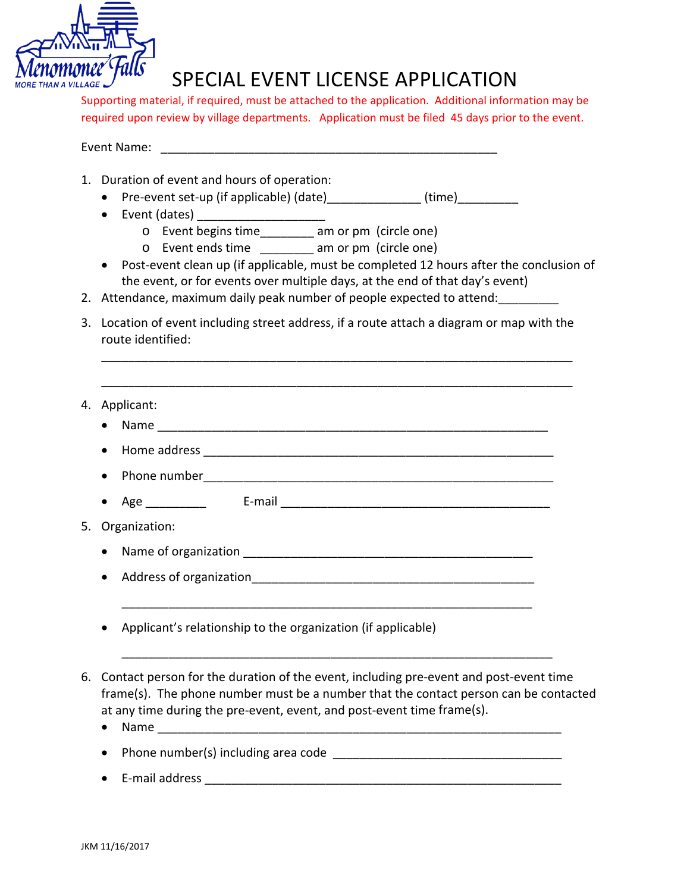

## SPECIAL EVENT LICENSE APPLICATION

Supporting material, if required, must be attached to the application. Additional information may be required upon review by village departments. Application must be filed 45 days prior to the event.

| Event Name: |
|-------------|
|-------------|

- 1. Duration of event and hours of operation:
	- Pre-event set-up (if applicable) (date) (time)
	- Event (dates)
		- o Event begins time\_\_\_\_\_\_\_\_ am or pm (circle one)
		- o Event ends time \_\_\_\_\_\_\_\_ am or pm (circle one)
	- Post-event clean up (if applicable, must be completed 12 hours after the conclusion of the event, or for events over multiple days, at the end of that day's event)

\_\_\_\_\_\_\_\_\_\_\_\_\_\_\_\_\_\_\_\_\_\_\_\_\_\_\_\_\_\_\_\_\_\_\_\_\_\_\_\_\_\_\_\_\_\_\_\_\_\_\_\_\_\_\_\_\_\_\_\_\_\_\_\_\_\_\_\_\_\_

- 2. Attendance, maximum daily peak number of people expected to attend:
- 3. Location of event including street address, if a route attach a diagram or map with the route identified:

\_\_\_\_\_\_\_\_\_\_\_\_\_\_\_\_\_\_\_\_\_\_\_\_\_\_\_\_\_\_\_\_\_\_\_\_\_\_\_\_\_\_\_\_\_\_\_\_\_\_\_\_\_\_\_\_\_\_\_\_\_\_\_\_\_\_\_\_\_\_

- 4. Applicant:
	- Name \_\_\_\_\_\_\_\_\_\_\_\_\_\_\_\_\_\_\_\_\_\_\_\_\_\_\_\_\_\_\_\_\_\_\_\_\_\_\_\_\_\_\_\_\_\_\_\_\_\_\_\_\_\_\_\_\_\_
	- $\bullet$  Home address  $\bullet$
	- $\bullet$  Phone number  $\bullet$
	- Age E‐mail **E**‐mail **E‐mail E‐mail E‐mail E‐mail E‐mail E‐mail E‐mail E‐mail E‐mail E‐mail E‐mail E‐mail E‐mail E‐mail E‐mail E‐mail E‐mail E‐mail E‐mail E‐mail E‐mail E‐mail**
- 5. Organization:
	- Name of organization \_\_\_\_\_\_\_\_\_\_\_\_\_\_\_\_\_\_\_\_\_\_\_\_\_\_\_\_\_\_\_\_\_\_\_\_\_\_\_\_\_\_\_
	- Address of organization

\_\_\_\_\_\_\_\_\_\_\_\_\_\_\_\_\_\_\_\_\_\_\_\_\_\_\_\_\_\_\_\_\_\_\_\_\_\_\_\_\_\_\_\_\_\_\_\_\_\_\_\_\_\_\_\_\_\_\_\_\_

- Applicant's relationship to the organization (if applicable)
- 6. Contact person for the duration of the event, including pre‐event and post‐event time frame(s). The phone number must be a number that the contact person can be contacted at any time during the pre‐event, event, and post‐event time frame(s).

\_\_\_\_\_\_\_\_\_\_\_\_\_\_\_\_\_\_\_\_\_\_\_\_\_\_\_\_\_\_\_\_\_\_\_\_\_\_\_\_\_\_\_\_\_\_\_\_\_\_\_\_\_\_\_\_\_\_\_\_\_\_\_\_

- $\bullet$  Name
- Phone number(s) including area code **shows**
- E‐mail address \_\_\_\_\_\_\_\_\_\_\_\_\_\_\_\_\_\_\_\_\_\_\_\_\_\_\_\_\_\_\_\_\_\_\_\_\_\_\_\_\_\_\_\_\_\_\_\_\_\_\_\_\_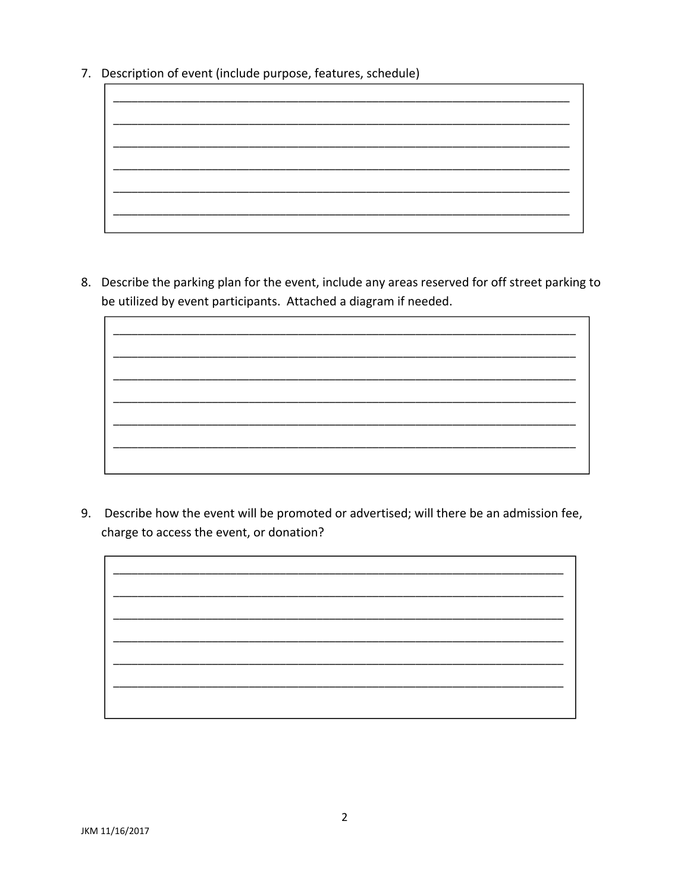7. Description of event (include purpose, features, schedule)



8. Describe the parking plan for the event, include any areas reserved for off street parking to be utilized by event participants. Attached a diagram if needed.

9. Describe how the event will be promoted or advertised; will there be an admission fee, charge to access the event, or donation?

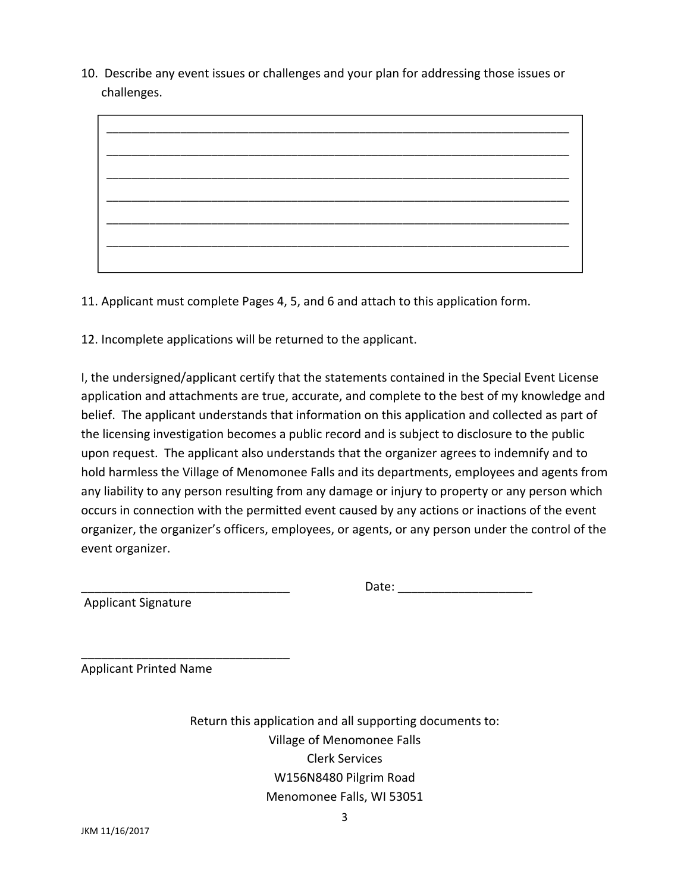10. Describe any event issues or challenges and your plan for addressing those issues or challenges.



11. Applicant must complete Pages 4, 5, and 6 and attach to this application form.

12. Incomplete applications will be returned to the applicant.

I, the undersigned/applicant certify that the statements contained in the Special Event License application and attachments are true, accurate, and complete to the best of my knowledge and belief. The applicant understands that information on this application and collected as part of the licensing investigation becomes a public record and is subject to disclosure to the public upon request. The applicant also understands that the organizer agrees to indemnify and to hold harmless the Village of Menomonee Falls and its departments, employees and agents from any liability to any person resulting from any damage or injury to property or any person which occurs in connection with the permitted event caused by any actions or inactions of the event organizer, the organizer's officers, employees, or agents, or any person under the control of the event organizer.

Applicant Signature

Applicant Printed Name

\_\_\_\_\_\_\_\_\_\_\_\_\_\_\_\_\_\_\_\_\_\_\_\_\_\_\_\_\_\_\_

Return this application and all supporting documents to: Village of Menomonee Falls Clerk Services W156N8480 Pilgrim Road Menomonee Falls, WI 53051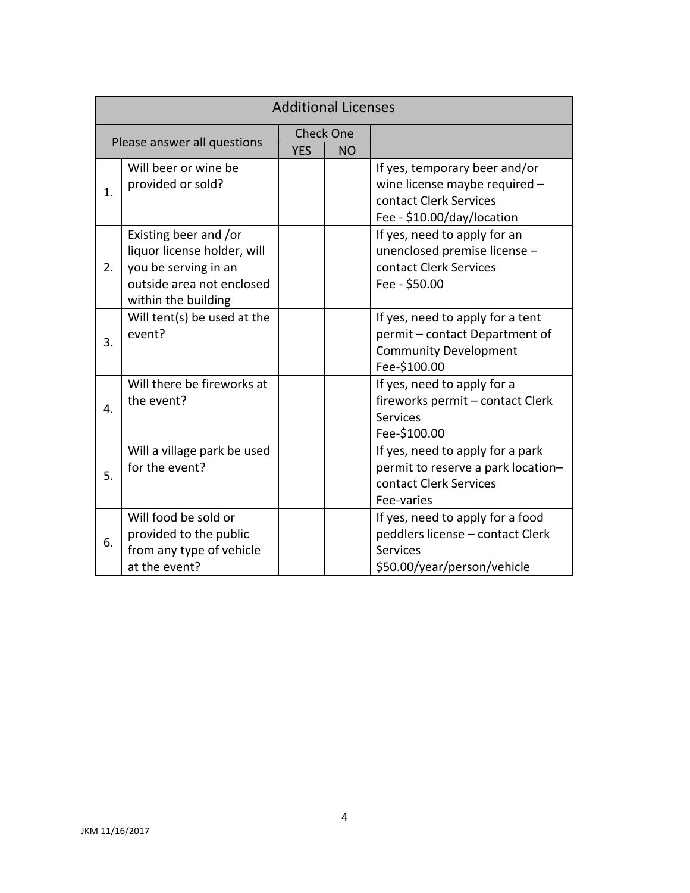| <b>Additional Licenses</b>  |                                                                                                                                  |                  |           |                                                                                                                        |  |  |  |
|-----------------------------|----------------------------------------------------------------------------------------------------------------------------------|------------------|-----------|------------------------------------------------------------------------------------------------------------------------|--|--|--|
| Please answer all questions |                                                                                                                                  | <b>Check One</b> |           |                                                                                                                        |  |  |  |
|                             |                                                                                                                                  | <b>YES</b>       | <b>NO</b> |                                                                                                                        |  |  |  |
| 1.                          | Will beer or wine be<br>provided or sold?                                                                                        |                  |           | If yes, temporary beer and/or<br>wine license maybe required -<br>contact Clerk Services<br>Fee - \$10.00/day/location |  |  |  |
| 2.                          | Existing beer and /or<br>liquor license holder, will<br>you be serving in an<br>outside area not enclosed<br>within the building |                  |           | If yes, need to apply for an<br>unenclosed premise license -<br>contact Clerk Services<br>Fee - \$50.00                |  |  |  |
| 3.                          | Will tent(s) be used at the<br>event?                                                                                            |                  |           | If yes, need to apply for a tent<br>permit - contact Department of<br><b>Community Development</b><br>Fee-\$100.00     |  |  |  |
| 4.                          | Will there be fireworks at<br>the event?                                                                                         |                  |           | If yes, need to apply for a<br>fireworks permit - contact Clerk<br><b>Services</b><br>Fee-\$100.00                     |  |  |  |
| 5.                          | Will a village park be used<br>for the event?                                                                                    |                  |           | If yes, need to apply for a park<br>permit to reserve a park location-<br>contact Clerk Services<br>Fee-varies         |  |  |  |
| 6.                          | Will food be sold or<br>provided to the public<br>from any type of vehicle<br>at the event?                                      |                  |           | If yes, need to apply for a food<br>peddlers license - contact Clerk<br><b>Services</b><br>\$50.00/year/person/vehicle |  |  |  |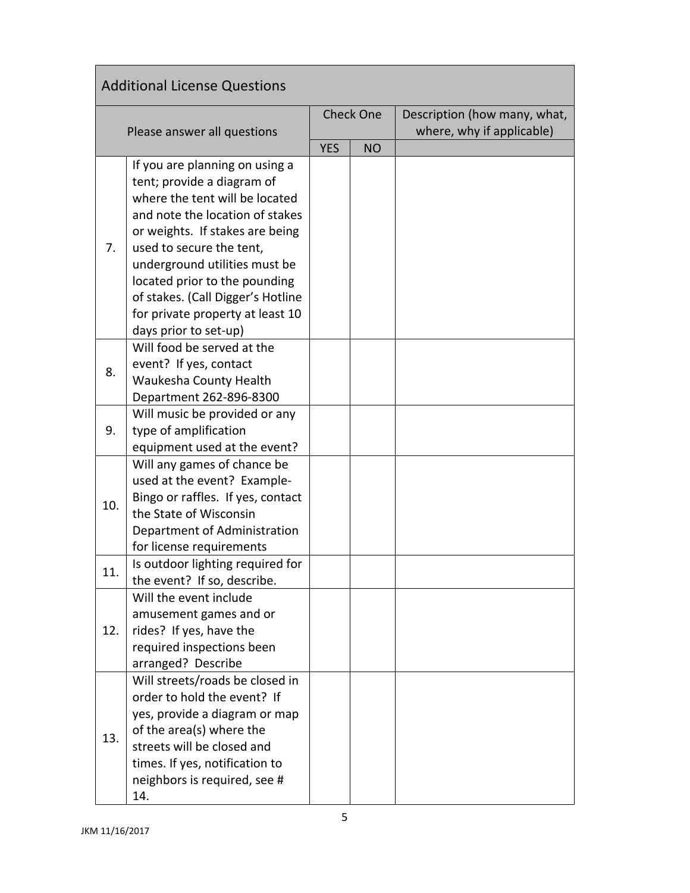| <b>Additional License Questions</b> |                                                                                                                                                                                                                                                                                                                                                                      |                  |           |                                                           |  |  |  |
|-------------------------------------|----------------------------------------------------------------------------------------------------------------------------------------------------------------------------------------------------------------------------------------------------------------------------------------------------------------------------------------------------------------------|------------------|-----------|-----------------------------------------------------------|--|--|--|
| Please answer all questions         |                                                                                                                                                                                                                                                                                                                                                                      | <b>Check One</b> |           | Description (how many, what,<br>where, why if applicable) |  |  |  |
|                                     |                                                                                                                                                                                                                                                                                                                                                                      | <b>YES</b>       | <b>NO</b> |                                                           |  |  |  |
| 7.                                  | If you are planning on using a<br>tent; provide a diagram of<br>where the tent will be located<br>and note the location of stakes<br>or weights. If stakes are being<br>used to secure the tent,<br>underground utilities must be<br>located prior to the pounding<br>of stakes. (Call Digger's Hotline<br>for private property at least 10<br>days prior to set-up) |                  |           |                                                           |  |  |  |
| 8.                                  | Will food be served at the<br>event? If yes, contact<br>Waukesha County Health<br>Department 262-896-8300                                                                                                                                                                                                                                                            |                  |           |                                                           |  |  |  |
| 9.                                  | Will music be provided or any<br>type of amplification<br>equipment used at the event?                                                                                                                                                                                                                                                                               |                  |           |                                                           |  |  |  |
| 10.                                 | Will any games of chance be<br>used at the event? Example-<br>Bingo or raffles. If yes, contact<br>the State of Wisconsin<br>Department of Administration<br>for license requirements                                                                                                                                                                                |                  |           |                                                           |  |  |  |
| 11.                                 | Is outdoor lighting required for<br>the event? If so, describe.                                                                                                                                                                                                                                                                                                      |                  |           |                                                           |  |  |  |
| 12.                                 | Will the event include<br>amusement games and or<br>rides? If yes, have the<br>required inspections been<br>arranged? Describe                                                                                                                                                                                                                                       |                  |           |                                                           |  |  |  |
| 13.                                 | Will streets/roads be closed in<br>order to hold the event? If<br>yes, provide a diagram or map<br>of the area(s) where the<br>streets will be closed and<br>times. If yes, notification to<br>neighbors is required, see #<br>14.                                                                                                                                   |                  |           |                                                           |  |  |  |